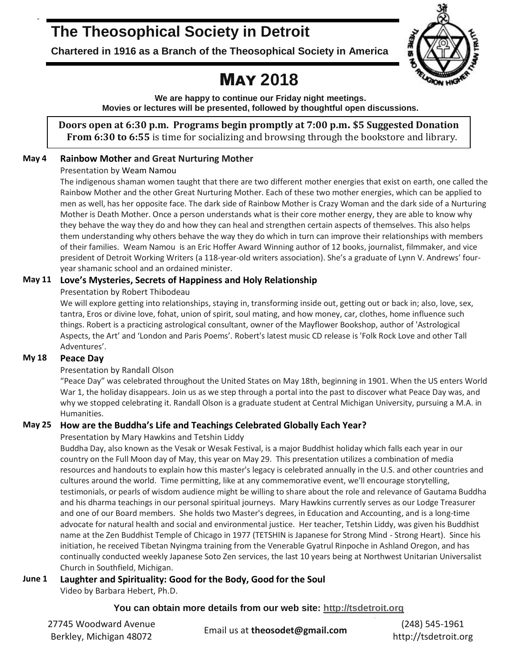# **The Theosophical Society in Detroit**

**Chartered in 1916 as a Branch of the Theosophical Society in America**

# MAY **2018**

**We are happy to continue our Friday night meetings. Movies or lectures will be presented, followed by thoughtful open discussions.**

**Doors open at 6:30 p.m. Programs begin promptly at 7:00 p.m. \$5 Suggested Donation From 6:30 to 6:55** is time for socializing and browsing through the bookstore and library.

## **May 4 Rainbow Mother and Great Nurturing Mother**

### Presentation by Weam Namou

The indigenous shaman women taught that there are two different mother energies that exist on earth, one called the Rainbow Mother and the other Great Nurturing Mother. Each of these two mother energies, which can be applied to men as well, has her opposite face. The dark side of Rainbow Mother is Crazy Woman and the dark side of a Nurturing Mother is Death Mother. Once a person understands what is their core mother energy, they are able to know why they behave the way they do and how they can heal and strengthen certain aspects of themselves. This also helps them understanding why others behave the way they do which in turn can improve their relationships with members of their families. Weam Namou is an Eric Hoffer Award Winning author of 12 books, journalist, filmmaker, and vice president of Detroit Working Writers (a 118-year-old writers association). She's a graduate of Lynn V. Andrews' fouryear shamanic school and an ordained minister.

## **May 11 Love's Mysteries, Secrets of Happiness and Holy Relationship**

### Presentation by Robert Thibodeau

We will explore getting into relationships, staying in, transforming inside out, getting out or back in; also, love, sex, tantra, Eros or divine love, fohat, union of spirit, soul mating, and how money, car, clothes, home influence such things. Robert is a practicing astrological consultant, owner of the Mayflower Bookshop, author of 'Astrological Aspects, the Art' and 'London and Paris Poems'. Robert's latest music CD release is 'Folk Rock Love and other Tall Adventures'.

## **My 18 Peace Day**

## Presentation by Randall Olson

"Peace Day" was celebrated throughout the United States on May 18th, beginning in 1901. When the US enters World War 1, the holiday disappears. Join us as we step through a portal into the past to discover what Peace Day was, and why we stopped celebrating it. Randall Olson is a graduate student at Central Michigan University, pursuing a M.A. in Humanities.

## **May 25 How are the Buddha's Life and Teachings Celebrated Globally Each Year?**

## Presentation by Mary Hawkins and Tetshin Liddy

Buddha Day, also known as the Vesak or Wesak Festival, is a major Buddhist holiday which falls each year in our country on the Full Moon day of May, this year on May 29. This presentation utilizes a combination of media resources and handouts to explain how this master's legacy is celebrated annually in the U.S. and other countries and cultures around the world. Time permitting, like at any commemorative event, we'll encourage storytelling, testimonials, or pearls of wisdom audience might be willing to share about the role and relevance of Gautama Buddha and his dharma teachings in our personal spiritual journeys. Mary Hawkins currently serves as our Lodge Treasurer and one of our Board members. She holds two Master's degrees, in Education and Accounting, and is a long-time advocate for natural health and social and environmental justice. Her teacher, Tetshin Liddy, was given his Buddhist name at the Zen Buddhist Temple of Chicago in 1977 (TETSHIN is Japanese for Strong Mind - Strong Heart). Since his initiation, he received Tibetan Nyingma training from the Venerable Gyatrul Rinpoche in Ashland Oregon, and has continually conducted weekly Japanese Soto Zen services, the last 10 years being at Northwest Unitarian Universalist Church in Southfield, Michigan.

## **June 1 Laughter and Spirituality: Good for the Body, Good for the Soul**

Video by Barbara Hebert, Ph.D.

**You can obtain more details from our web site: [http://tsdetroit.org](http://tsdetroit.org/)**

| 27745 Woodward Avenue   | Email us at theosodet@gmail.com | $(248)$ 545-1961     |
|-------------------------|---------------------------------|----------------------|
| Berkley, Michigan 48072 |                                 | http://tsdetroit.org |